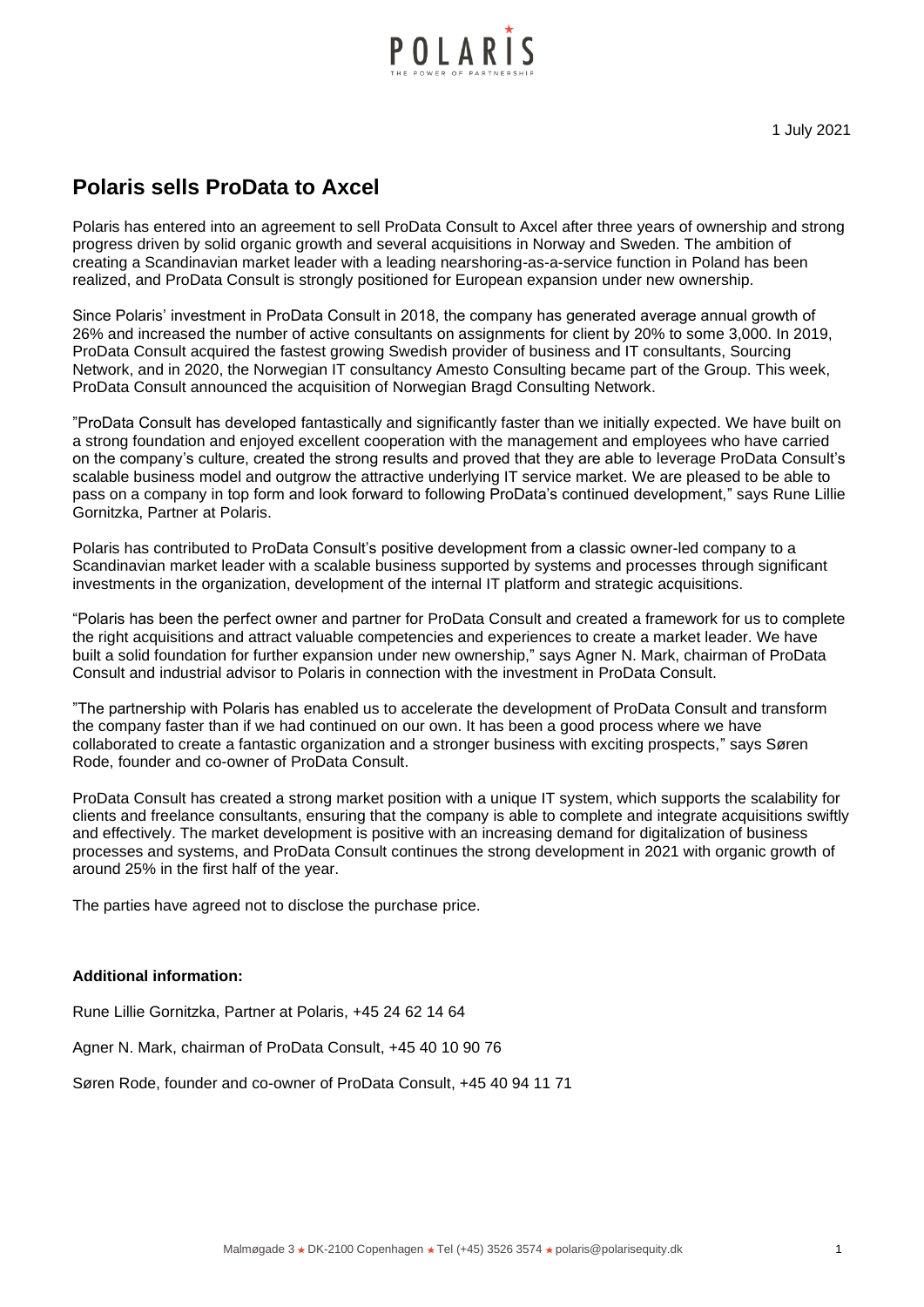

## **Polaris sells ProData to Axcel**

Polaris has entered into an agreement to sell ProData Consult to Axcel after three years of ownership and strong progress driven by solid organic growth and several acquisitions in Norway and Sweden. The ambition of creating a Scandinavian market leader with a leading nearshoring-as-a-service function in Poland has been realized, and ProData Consult is strongly positioned for European expansion under new ownership.

Since Polaris' investment in ProData Consult in 2018, the company has generated average annual growth of 26% and increased the number of active consultants on assignments for client by 20% to some 3,000. In 2019, ProData Consult acquired the fastest growing Swedish provider of business and IT consultants, Sourcing Network, and in 2020, the Norwegian IT consultancy Amesto Consulting became part of the Group. This week, ProData Consult announced the acquisition of Norwegian Bragd Consulting Network.

"ProData Consult has developed fantastically and significantly faster than we initially expected. We have built on a strong foundation and enjoyed excellent cooperation with the management and employees who have carried on the company's culture, created the strong results and proved that they are able to leverage ProData Consult's scalable business model and outgrow the attractive underlying IT service market. We are pleased to be able to pass on a company in top form and look forward to following ProData's continued development," says Rune Lillie Gornitzka, Partner at Polaris.

Polaris has contributed to ProData Consult's positive development from a classic owner-led company to a Scandinavian market leader with a scalable business supported by systems and processes through significant investments in the organization, development of the internal IT platform and strategic acquisitions.

"Polaris has been the perfect owner and partner for ProData Consult and created a framework for us to complete the right acquisitions and attract valuable competencies and experiences to create a market leader. We have built a solid foundation for further expansion under new ownership," says Agner N. Mark, chairman of ProData Consult and industrial advisor to Polaris in connection with the investment in ProData Consult.

"The partnership with Polaris has enabled us to accelerate the development of ProData Consult and transform the company faster than if we had continued on our own. It has been a good process where we have collaborated to create a fantastic organization and a stronger business with exciting prospects," says Søren Rode, founder and co-owner of ProData Consult.

ProData Consult has created a strong market position with a unique IT system, which supports the scalability for clients and freelance consultants, ensuring that the company is able to complete and integrate acquisitions swiftly and effectively. The market development is positive with an increasing demand for digitalization of business processes and systems, and ProData Consult continues the strong development in 2021 with organic growth of around 25% in the first half of the year.

The parties have agreed not to disclose the purchase price.

## **Additional information:**

Rune Lillie Gornitzka, Partner at Polaris, +45 24 62 14 64

Agner N. Mark, chairman of ProData Consult, +45 40 10 90 76

Søren Rode, founder and co-owner of ProData Consult, +45 40 94 11 71